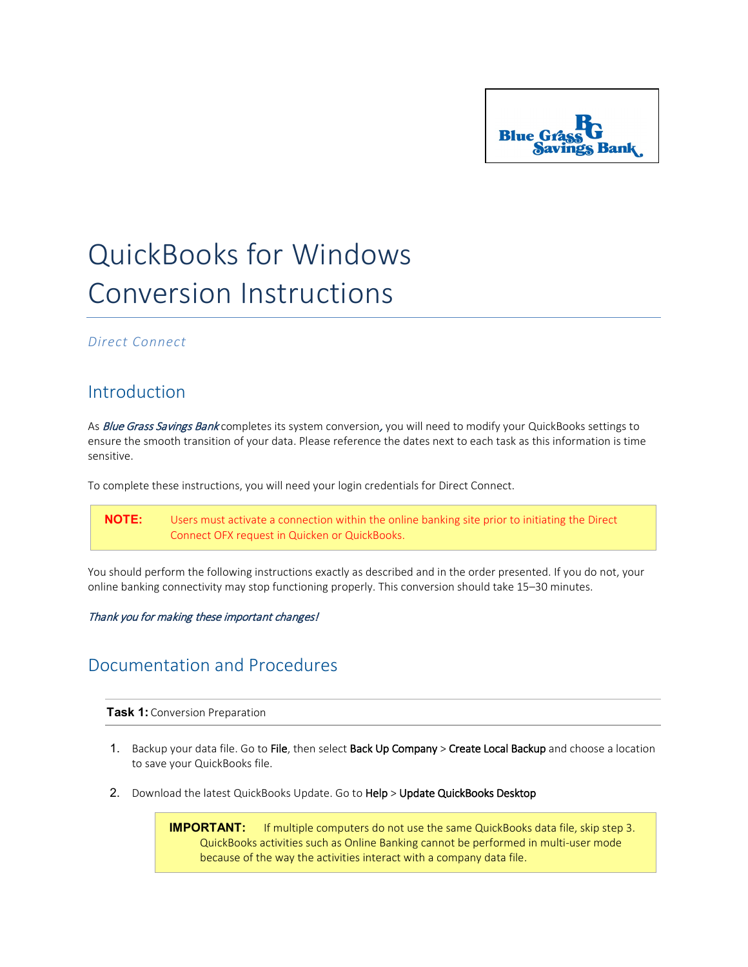

# QuickBooks for Windows Conversion Instructions

#### *Direct Connect*

### Introduction

As Blue Grass Savings Bank completes its system conversion, you will need to modify your QuickBooks settings to ensure the smooth transition of your data. Please reference the dates next to each task as this information is time sensitive.

To complete these instructions, you will need your login credentials for Direct Connect.

**NOTE:** Users must activate a connection within the online banking site prior to initiating the Direct Connect OFX request in Quicken or QuickBooks.

You should perform the following instructions exactly as described and in the order presented. If you do not, your online banking connectivity may stop functioning properly. This conversion should take 15–30 minutes.

#### Thank you for making these important changes!

## Documentation and Procedures

**Task 1:** Conversion Preparation

- 1. Backup your data file. Go to File, then select Back Up Company > Create Local Backup and choose a location to save your QuickBooks file.
- 2. Download the latest QuickBooks Update. Go to Help > Update QuickBooks Desktop

**IMPORTANT:** If multiple computers do not use the same QuickBooks data file, skip step 3. QuickBooks activities such as Online Banking cannot be performed in multi-user mode because of the way the activities interact with a company data file.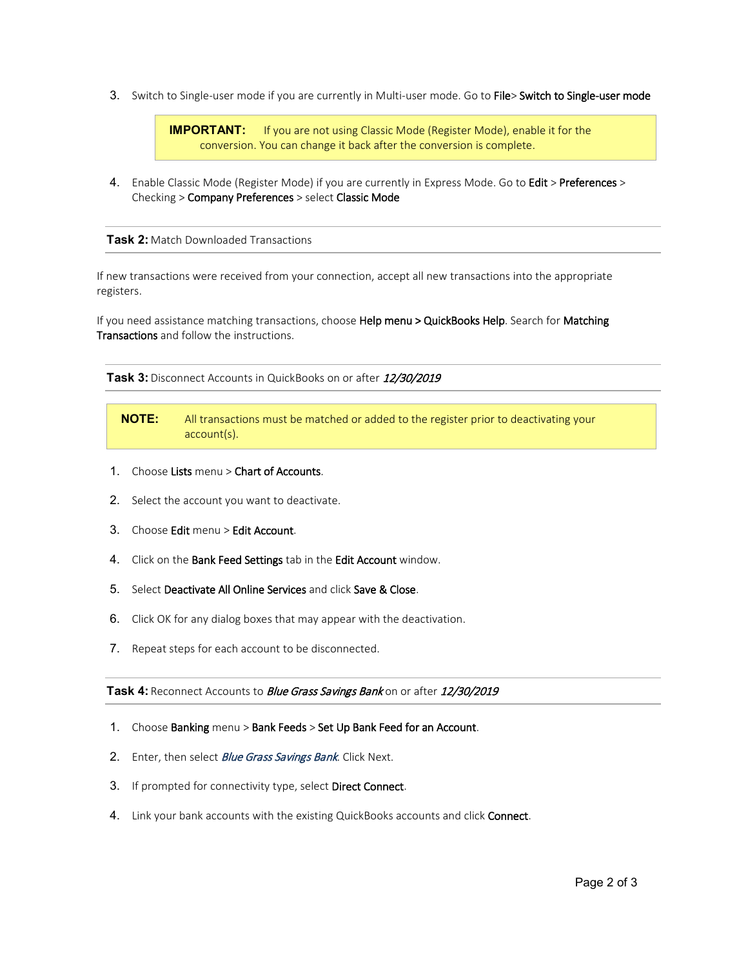3. Switch to Single-user mode if you are currently in Multi-user mode. Go to File> Switch to Single-user mode

**IMPORTANT:** If you are not using Classic Mode (Register Mode), enable it for the conversion. You can change it back after the conversion is complete.

4. Enable Classic Mode (Register Mode) if you are currently in Express Mode. Go to Edit > Preferences > Checking > Company Preferences > select Classic Mode

**Task 2:** Match Downloaded Transactions

If new transactions were received from your connection, accept all new transactions into the appropriate registers.

If you need assistance matching transactions, choose Help menu > QuickBooks Help. Search for Matching Transactions and follow the instructions.

**Task 3:** Disconnect Accounts in QuickBooks on or after 12/30/2019

- **NOTE:** All transactions must be matched or added to the register prior to deactivating your account(s).
- 1. Choose Lists menu > Chart of Accounts.
- 2. Select the account you want to deactivate.
- 3. Choose Edit menu > Edit Account.
- 4. Click on the Bank Feed Settings tab in the Edit Account window.
- 5. Select Deactivate All Online Services and click Save & Close.
- 6. Click OK for any dialog boxes that may appear with the deactivation.
- 7. Repeat steps for each account to be disconnected.

Task 4: Reconnect Accounts to *Blue Grass Savings Bank* on or after 12/30/2019

- 1. Choose Banking menu > Bank Feeds > Set Up Bank Feed for an Account.
- 2. Enter, then select *Blue Grass Savings Bank*. Click Next.
- 3. If prompted for connectivity type, select Direct Connect.
- 4. Link your bank accounts with the existing QuickBooks accounts and click Connect.